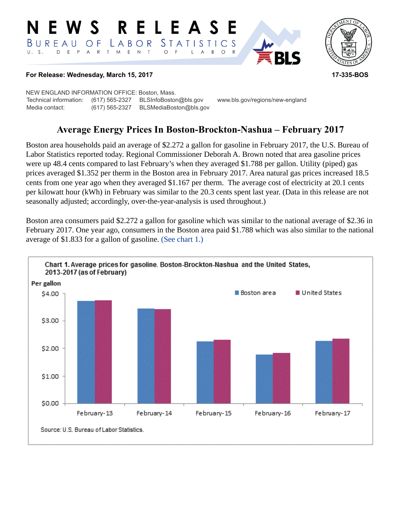#### RELEASE E W S *STATISTICS* BUREAU  $\overline{O}$  F LABOR D E P A R T M E N T  $U. S.$  $\circ$  $\overline{F}$  $B$  $\circ$  $\mathsf{R}$  $\mathsf{L}$  $\overline{A}$



## **For Release: Wednesday, March 15, 2017 17-335-BOS**

NEW ENGLAND INFORMATION OFFICE: Boston, Mass. Technical information: (617) 565-2327 BLSInfoBoston@bls.gov www.bls.gov/regions/new-england Media contact: (617) 565-2327 BLSMediaBoston@bls.gov

# **Average Energy Prices In Boston-Brockton-Nashua – February 2017**

Boston area households paid an average of \$2.272 a gallon for gasoline in February 2017, the U.S. Bureau of Labor Statistics reported today. Regional Commissioner Deborah A. Brown noted that area gasoline prices were up 48.4 cents compared to last February's when they averaged \$1.788 per gallon. Utility (piped) gas prices averaged \$1.352 per therm in the Boston area in February 2017. Area natural gas prices increased 18.5 cents from one year ago when they averaged \$1.167 per therm. The average cost of electricity at 20.1 cents per kilowatt hour (kWh) in February was similar to the 20.3 cents spent last year. (Data in this release are not seasonally adjusted; accordingly, over-the-year-analysis is used throughout.)

Boston area consumers paid \$2.272 a gallon for gasoline which was similar to the national average of \$2.36 in February 2017. One year ago, consumers in the Boston area paid \$1.788 which was also similar to the national average of \$1.833 for a gallon of gasoline. [\(See chart 1.\)](#page-0-0) 

<span id="page-0-0"></span>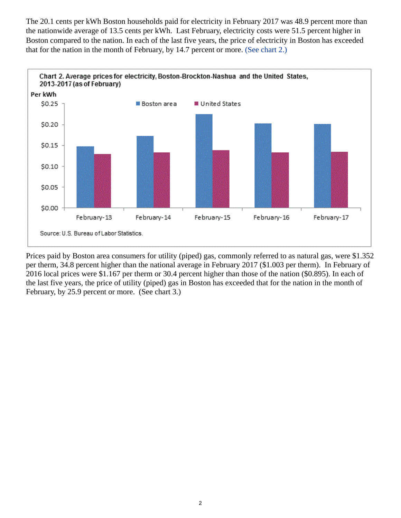The 20.1 cents per kWh Boston households paid for electricity in February 2017 was 48.9 percent more than the nationwide average of 13.5 cents per kWh. Last February, electricity costs were 51.5 percent higher in Boston compared to the nation. In each of the last five years, the price of electricity in Boston has exceeded that for the nation in the month of February, by 14.7 percent or more. [\(See chart 2.\)](#page-1-0)

<span id="page-1-0"></span>

Prices paid by Boston area consumers for utility (piped) gas, commonly referred to as natural gas, were \$1.352 per therm, 34.8 percent higher than the national average in February 2017 (\$1.003 per therm). In February of 2016 local prices were \$1.167 per therm or 30.4 percent higher than those of the nation (\$0.895). In each of the last five years, the price of utility (piped) gas in Boston has exceeded that for the nation in the month of February, by 25.9 percent or more. (See chart 3.)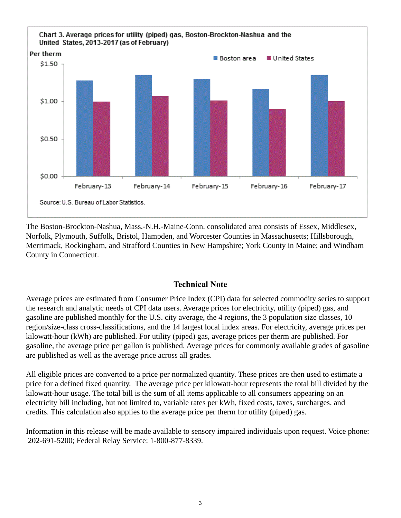

The Boston-Brockton-Nashua, Mass.-N.H.-Maine-Conn. consolidated area consists of Essex, Middlesex, Norfolk, Plymouth, Suffolk, Bristol, Hampden, and Worcester Counties in Massachusetts; Hillsborough, Merrimack, Rockingham, and Strafford Counties in New Hampshire; York County in Maine; and Windham County in Connecticut.

## **Technical Note**

Average prices are estimated from Consumer Price Index (CPI) data for selected commodity series to support the research and analytic needs of CPI data users. Average prices for electricity, utility (piped) gas, and gasoline are published monthly for the U.S. city average, the 4 regions, the 3 population size classes, 10 region/size-class cross-classifications, and the 14 largest local index areas. For electricity, average prices per kilowatt-hour (kWh) are published. For utility (piped) gas, average prices per therm are published. For gasoline, the average price per gallon is published. Average prices for commonly available grades of gasoline are published as well as the average price across all grades.

All eligible prices are converted to a price per normalized quantity. These prices are then used to estimate a price for a defined fixed quantity. The average price per kilowatt-hour represents the total bill divided by the kilowatt-hour usage. The total bill is the sum of all items applicable to all consumers appearing on an electricity bill including, but not limited to, variable rates per kWh, fixed costs, taxes, surcharges, and credits. This calculation also applies to the average price per therm for utility (piped) gas.

Information in this release will be made available to sensory impaired individuals upon request. Voice phone: 202-691-5200; Federal Relay Service: 1-800-877-8339.